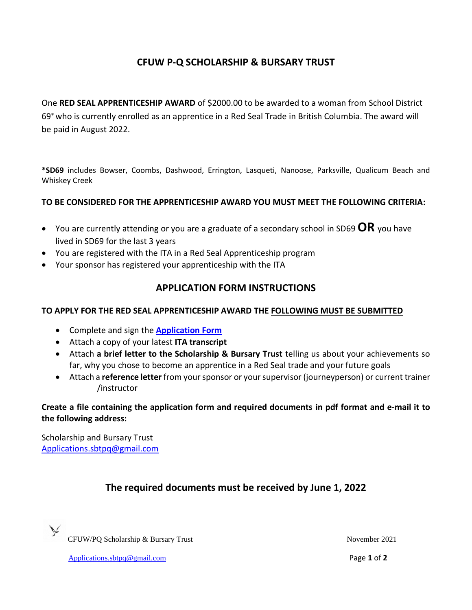# **CFUW P-Q SCHOLARSHIP & BURSARY TRUST**

One **RED SEAL APPRENTICESHIP AWARD** of \$2000.00 to be awarded to a woman from School District 69 who is currently enrolled as an apprentice in a Red Seal Trade in British Columbia. The award will be paid in August 2022.

**\*SD69** includes Bowser, Coombs, Dashwood, Errington, Lasqueti, Nanoose, Parksville, Qualicum Beach and Whiskey Creek

#### **TO BE CONSIDERED FOR THE APPRENTICESHIP AWARD YOU MUST MEET THE FOLLOWING CRITERIA:**

- You are currently attending or you are a graduate of a secondary school in SD69 **OR** you have lived in SD69 for the last 3 years
- You are registered with the ITA in a Red Seal Apprenticeship program
- Your sponsor has registered your apprenticeship with the ITA

### **APPLICATION FORM INSTRUCTIONS**

### **TO APPLY FOR THE RED SEAL APPRENTICESHIP AWARD THE FOLLOWING MUST BE SUBMITTED**

- Complete and sign the **[Application Form](#page-0-0)**
- Attach a copy of your latest **ITA transcript**
- Attach **a brief letter to the Scholarship & Bursary Trust** telling us about your achievements so far, why you chose to become an apprentice in a Red Seal trade and your future goals
- Attach a **reference letter** from your sponsor or your supervisor (journeyperson) or current trainer /instructor

**Create a file containing the application form and required documents in pdf format and e-mail it to the following address:**

Scholarship and Bursary Trust [Applications.sbtpq@gmail.com](mailto:Applications.sbtpq@gmail.com)

## **The required documents must be received by June 1, 2022**



CFUW/PQ Scholarship & Bursary Trust November 2021

<span id="page-0-0"></span>

[Applications.sbtpq@gmail.com](mailto:Applications.sbtpq@gmail.com) Page **1** of **2**